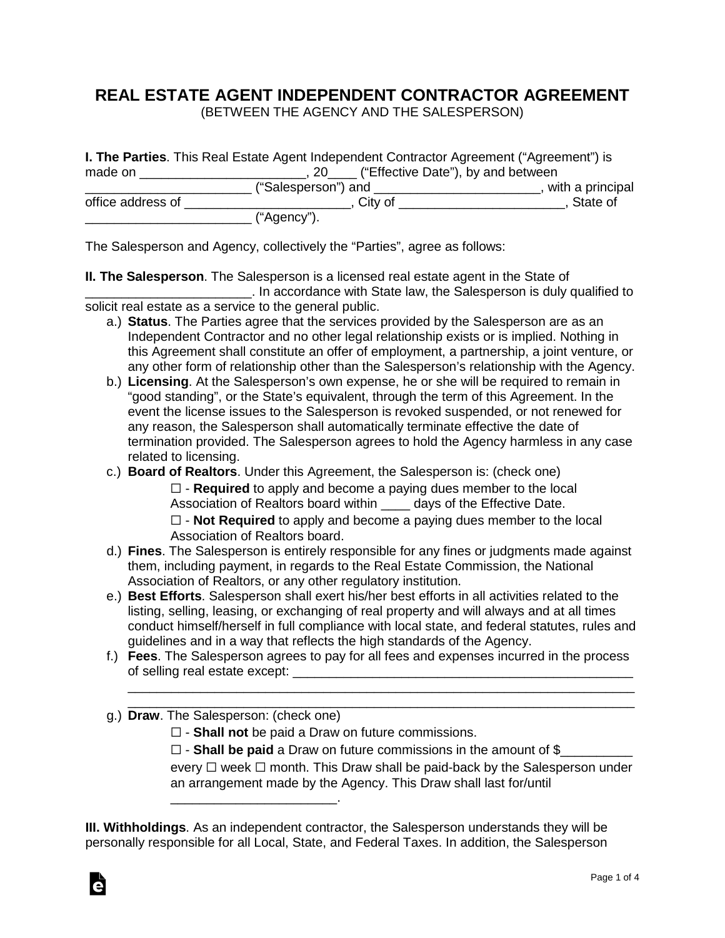## **REAL ESTATE AGENT INDEPENDENT CONTRACTOR AGREEMENT**

(BETWEEN THE AGENCY AND THE SALESPERSON)

|                   | <b>I. The Parties</b> . This Real Estate Agent Independent Contractor Agreement ("Agreement") is |                                       |  |  |
|-------------------|--------------------------------------------------------------------------------------------------|---------------------------------------|--|--|
| made on           |                                                                                                  | 20 ("Effective Date"), by and between |  |  |
|                   | ("Salesperson") and                                                                              | with a principal                      |  |  |
| office address of | City of                                                                                          | State of                              |  |  |
|                   | ("Agency").                                                                                      |                                       |  |  |

The Salesperson and Agency, collectively the "Parties", agree as follows:

**II. The Salesperson**. The Salesperson is a licensed real estate agent in the State of **Example 20** In accordance with State law, the Salesperson is duly qualified to solicit real estate as a service to the general public.

- a.) **Status**. The Parties agree that the services provided by the Salesperson are as an Independent Contractor and no other legal relationship exists or is implied. Nothing in this Agreement shall constitute an offer of employment, a partnership, a joint venture, or any other form of relationship other than the Salesperson's relationship with the Agency.
- b.) **Licensing**. At the Salesperson's own expense, he or she will be required to remain in "good standing", or the State's equivalent, through the term of this Agreement. In the event the license issues to the Salesperson is revoked suspended, or not renewed for any reason, the Salesperson shall automatically terminate effective the date of termination provided. The Salesperson agrees to hold the Agency harmless in any case related to licensing.
- c.) **Board of Realtors**. Under this Agreement, the Salesperson is: (check one) ☐ - **Required** to apply and become a paying dues member to the local Association of Realtors board within \_\_\_\_ days of the Effective Date.

☐ - **Not Required** to apply and become a paying dues member to the local Association of Realtors board.

- d.) **Fines**. The Salesperson is entirely responsible for any fines or judgments made against them, including payment, in regards to the Real Estate Commission, the National Association of Realtors, or any other regulatory institution.
- e.) **Best Efforts**. Salesperson shall exert his/her best efforts in all activities related to the listing, selling, leasing, or exchanging of real property and will always and at all times conduct himself/herself in full compliance with local state, and federal statutes, rules and guidelines and in a way that reflects the high standards of the Agency.
- f.) **Fees**. The Salesperson agrees to pay for all fees and expenses incurred in the process of selling real estate except: \_\_\_\_\_\_\_\_\_\_\_\_\_\_\_\_\_\_\_\_\_\_\_\_\_\_\_\_\_\_\_\_\_\_\_\_\_\_\_\_\_\_\_\_\_\_\_

\_\_\_\_\_\_\_\_\_\_\_\_\_\_\_\_\_\_\_\_\_\_\_\_\_\_\_\_\_\_\_\_\_\_\_\_\_\_\_\_\_\_\_\_\_\_\_\_\_\_\_\_\_\_\_\_\_\_\_\_\_\_\_\_\_\_\_\_\_\_

\_\_\_\_\_\_\_\_\_\_\_\_\_\_\_\_\_\_\_\_\_\_\_\_\_\_\_\_\_\_\_\_\_\_\_\_\_\_\_\_\_\_\_\_\_\_\_\_\_\_\_\_\_\_\_\_\_\_\_\_\_\_\_\_\_\_\_\_\_\_ g.) **Draw**. The Salesperson: (check one)

\_\_\_\_\_\_\_\_\_\_\_\_\_\_\_\_\_\_\_\_\_\_\_.

☐ - **Shall not** be paid a Draw on future commissions.

□ - **Shall be paid** a Draw on future commissions in the amount of \$ every □ week □ month. This Draw shall be paid-back by the Salesperson under an arrangement made by the Agency. This Draw shall last for/until

**III. Withholdings**. As an independent contractor, the Salesperson understands they will be personally responsible for all Local, State, and Federal Taxes. In addition, the Salesperson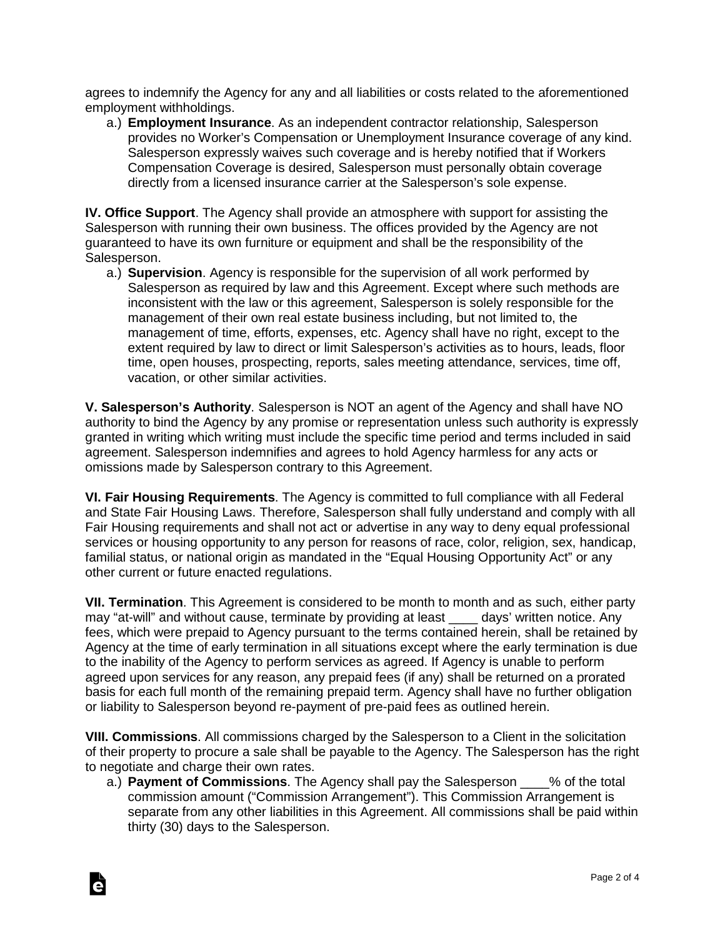agrees to indemnify the Agency for any and all liabilities or costs related to the aforementioned employment withholdings.

a.) **Employment Insurance**. As an independent contractor relationship, Salesperson provides no Worker's Compensation or Unemployment Insurance coverage of any kind. Salesperson expressly waives such coverage and is hereby notified that if Workers Compensation Coverage is desired, Salesperson must personally obtain coverage directly from a licensed insurance carrier at the Salesperson's sole expense.

**IV. Office Support**. The Agency shall provide an atmosphere with support for assisting the Salesperson with running their own business. The offices provided by the Agency are not guaranteed to have its own furniture or equipment and shall be the responsibility of the Salesperson.

a.) **Supervision**. Agency is responsible for the supervision of all work performed by Salesperson as required by law and this Agreement. Except where such methods are inconsistent with the law or this agreement, Salesperson is solely responsible for the management of their own real estate business including, but not limited to, the management of time, efforts, expenses, etc. Agency shall have no right, except to the extent required by law to direct or limit Salesperson's activities as to hours, leads, floor time, open houses, prospecting, reports, sales meeting attendance, services, time off, vacation, or other similar activities.

**V. Salesperson's Authority**. Salesperson is NOT an agent of the Agency and shall have NO authority to bind the Agency by any promise or representation unless such authority is expressly granted in writing which writing must include the specific time period and terms included in said agreement. Salesperson indemnifies and agrees to hold Agency harmless for any acts or omissions made by Salesperson contrary to this Agreement.

**VI. Fair Housing Requirements**. The Agency is committed to full compliance with all Federal and State Fair Housing Laws. Therefore, Salesperson shall fully understand and comply with all Fair Housing requirements and shall not act or advertise in any way to deny equal professional services or housing opportunity to any person for reasons of race, color, religion, sex, handicap, familial status, or national origin as mandated in the "Equal Housing Opportunity Act" or any other current or future enacted regulations.

**VII. Termination**. This Agreement is considered to be month to month and as such, either party may "at-will" and without cause, terminate by providing at least days' written notice. Any fees, which were prepaid to Agency pursuant to the terms contained herein, shall be retained by Agency at the time of early termination in all situations except where the early termination is due to the inability of the Agency to perform services as agreed. If Agency is unable to perform agreed upon services for any reason, any prepaid fees (if any) shall be returned on a prorated basis for each full month of the remaining prepaid term. Agency shall have no further obligation or liability to Salesperson beyond re-payment of pre-paid fees as outlined herein.

**VIII. Commissions**. All commissions charged by the Salesperson to a Client in the solicitation of their property to procure a sale shall be payable to the Agency. The Salesperson has the right to negotiate and charge their own rates.

Ġ

a.) **Payment of Commissions**. The Agency shall pay the Salesperson \_\_\_\_% of the total commission amount ("Commission Arrangement"). This Commission Arrangement is separate from any other liabilities in this Agreement. All commissions shall be paid within thirty (30) days to the Salesperson.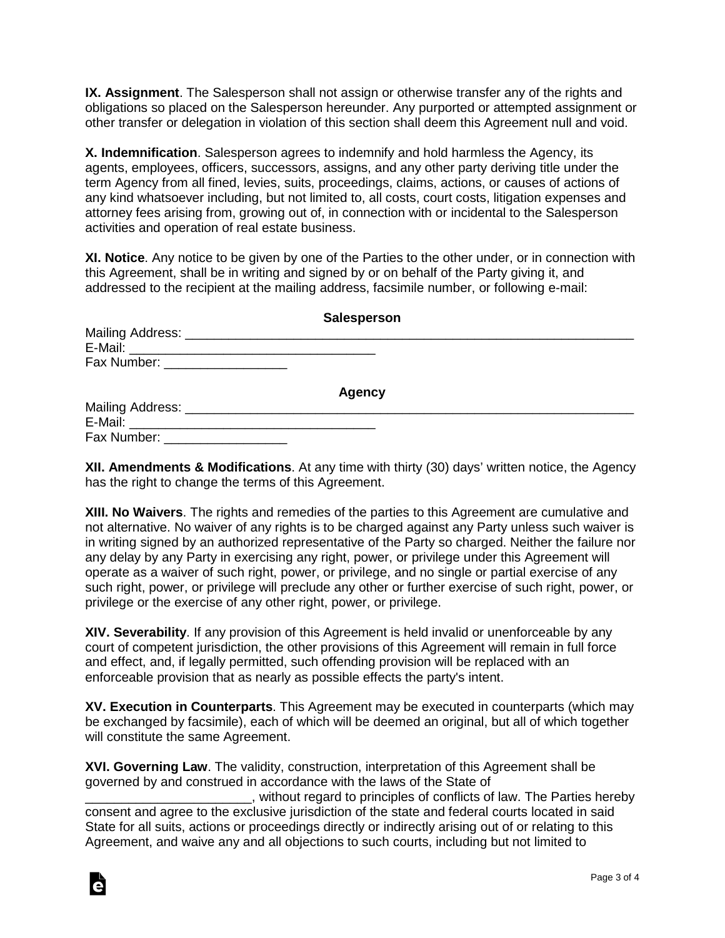**IX. Assignment**. The Salesperson shall not assign or otherwise transfer any of the rights and obligations so placed on the Salesperson hereunder. Any purported or attempted assignment or other transfer or delegation in violation of this section shall deem this Agreement null and void.

**X. Indemnification**. Salesperson agrees to indemnify and hold harmless the Agency, its agents, employees, officers, successors, assigns, and any other party deriving title under the term Agency from all fined, levies, suits, proceedings, claims, actions, or causes of actions of any kind whatsoever including, but not limited to, all costs, court costs, litigation expenses and attorney fees arising from, growing out of, in connection with or incidental to the Salesperson activities and operation of real estate business.

**XI. Notice**. Any notice to be given by one of the Parties to the other under, or in connection with this Agreement, shall be in writing and signed by or on behalf of the Party giving it, and addressed to the recipient at the mailing address, facsimile number, or following e-mail:

|                                  | <b>Salesperson</b> |  |
|----------------------------------|--------------------|--|
|                                  |                    |  |
|                                  |                    |  |
| Fax Number: ____________________ |                    |  |
|                                  | <b>Agency</b>      |  |
|                                  |                    |  |
|                                  |                    |  |
| Fax Number: ____________________ |                    |  |

**XII. Amendments & Modifications**. At any time with thirty (30) days' written notice, the Agency has the right to change the terms of this Agreement.

**XIII. No Waivers**. The rights and remedies of the parties to this Agreement are cumulative and not alternative. No waiver of any rights is to be charged against any Party unless such waiver is in writing signed by an authorized representative of the Party so charged. Neither the failure nor any delay by any Party in exercising any right, power, or privilege under this Agreement will operate as a waiver of such right, power, or privilege, and no single or partial exercise of any such right, power, or privilege will preclude any other or further exercise of such right, power, or privilege or the exercise of any other right, power, or privilege.

**XIV. Severability**. If any provision of this Agreement is held invalid or unenforceable by any court of competent jurisdiction, the other provisions of this Agreement will remain in full force and effect, and, if legally permitted, such offending provision will be replaced with an enforceable provision that as nearly as possible effects the party's intent.

**XV. Execution in Counterparts**. This Agreement may be executed in counterparts (which may be exchanged by facsimile), each of which will be deemed an original, but all of which together will constitute the same Agreement.

**XVI. Governing Law**. The validity, construction, interpretation of this Agreement shall be governed by and construed in accordance with the laws of the State of

\_\_\_\_\_\_\_\_\_\_\_\_\_\_\_\_\_\_\_\_\_\_\_, without regard to principles of conflicts of law. The Parties hereby consent and agree to the exclusive jurisdiction of the state and federal courts located in said State for all suits, actions or proceedings directly or indirectly arising out of or relating to this Agreement, and waive any and all objections to such courts, including but not limited to